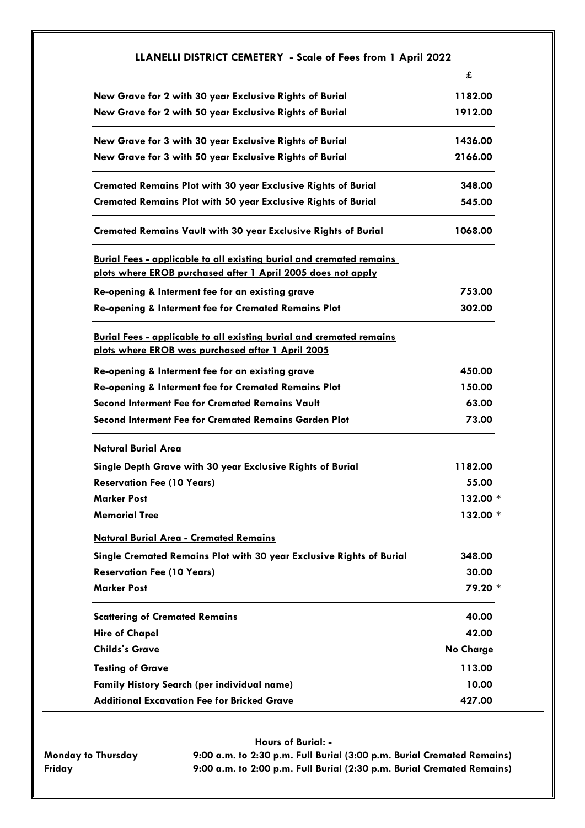| LLANELLI DISTRICT CEMETERY - Scale of Fees from 1 April 2022                                                                     |                  |
|----------------------------------------------------------------------------------------------------------------------------------|------------------|
|                                                                                                                                  | £                |
| New Grave for 2 with 30 year Exclusive Rights of Burial                                                                          | 1182.00          |
| New Grave for 2 with 50 year Exclusive Rights of Burial                                                                          | 1912.00          |
| New Grave for 3 with 30 year Exclusive Rights of Burial                                                                          | 1436.00          |
| New Grave for 3 with 50 year Exclusive Rights of Burial                                                                          | 2166.00          |
| <b>Cremated Remains Plot with 30 year Exclusive Rights of Burial</b>                                                             | 348.00           |
| <b>Cremated Remains Plot with 50 year Exclusive Rights of Burial</b>                                                             | 545.00           |
| <b>Cremated Remains Vault with 30 year Exclusive Rights of Burial</b>                                                            | 1068.00          |
| <b>Burial Fees - applicable to all existing burial and cremated remains</b>                                                      |                  |
| plots where EROB purchased after 1 April 2005 does not apply                                                                     |                  |
| Re-opening & Interment fee for an existing grave                                                                                 | 753.00           |
| Re-opening & Interment fee for Cremated Remains Plot                                                                             | 302.00           |
| <b>Burial Fees - applicable to all existing burial and cremated remains</b><br>plots where EROB was purchased after 1 April 2005 |                  |
| Re-opening & Interment fee for an existing grave                                                                                 | 450.00           |
| Re-opening & Interment fee for Cremated Remains Plot                                                                             | 150.00           |
| <b>Second Interment Fee for Cremated Remains Vault</b>                                                                           | 63.00            |
| <b>Second Interment Fee for Cremated Remains Garden Plot</b>                                                                     | 73.00            |
| <b>Natural Burial Area</b>                                                                                                       |                  |
| Single Depth Grave with 30 year Exclusive Rights of Burial                                                                       | 1182.00          |
| <b>Reservation Fee (10 Years)</b>                                                                                                | 55.00            |
| <b>Marker Post</b>                                                                                                               | 132.00 *         |
| <b>Memorial Tree</b>                                                                                                             | $132.00*$        |
| <b>Natural Burial Area - Cremated Remains</b>                                                                                    |                  |
| Single Cremated Remains Plot with 30 year Exclusive Rights of Burial                                                             | 348.00           |
| <b>Reservation Fee (10 Years)</b>                                                                                                | 30.00            |
| <b>Marker Post</b>                                                                                                               | 79.20 *          |
| <b>Scattering of Cremated Remains</b>                                                                                            | 40.00            |
| <b>Hire of Chapel</b>                                                                                                            | 42.00            |
| <b>Childs's Grave</b>                                                                                                            | <b>No Charge</b> |
| <b>Testing of Grave</b>                                                                                                          | 113.00           |
| <b>Family History Search (per individual name)</b>                                                                               | 10.00            |
| <b>Additional Excavation Fee for Bricked Grave</b>                                                                               | 427.00           |

**Hours of Burial: -**

g

**Monday to Thursday 9:00 a.m. to 2:30 p.m. Full Burial (3:00 p.m. Burial Cremated Remains) Friday 9:00 a.m. to 2:00 p.m. Full Burial (2:30 p.m. Burial Cremated Remains)**